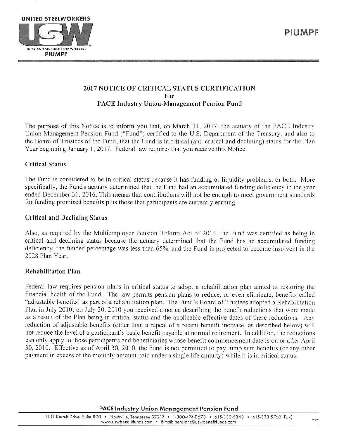

# 2017 NOTICE OF CRITICAL STATUS CERTIFICATION For PACE Industry Union-Management Pension Fund

The purpose of this Notice is to inform you that, on March 31, 2017, the actuary of the PACE *l* ndustry Union-Management Pension Fund ("Fund") certified to the U.S. Department of the Treasury, and also to the Board of Trustees of the Fund, that the Fund is in critical (and critical and declining) status for the Plan Year beginning January 1, 2017. Federal law requires that you receive this Notice.

## Critical Status

The Fund is considered to be in critical status because it has funding or liquidity problems, or both. More specifically, the Fund's actuary determined that the Fund had an accumulated funding deficiency in the year ended December 31, 2016. This means that contributions will not be enough to meet government standards for funding promised benefits plus those that participants are currently earning.

### Critical and Declining Status

Also, as required by the Multiemployer Pension Reform Act of 2014, the Fund was certified as being in critical and declining status because the actuary determined that the Fund has an accumulated funding deficiency, the funded percentage was less than 65%, and the Fund is projected to become insolvent in the 2028 Plan Year.

## Rehabilitation Plan

Federal law requires pension plans in critical status to adopt a rehabilitation plan aimed at restoring the financial hea1th of the Fund. The law permits pension plans to reduce, or even eliminate, benefits called "adjustable benefits" as part of a rehabilitation plan. The Fund's Board of Trustees adopted a Rehabilitation Plan in July 2010; on July 30, 2010 you received a notice describing the benefit reductions that were made as a result of the Plan being in critical status and the applicable effective dates of these reductions. Any reduction of adjustable benefits (other than a repeal of a recent benefit increase, as described below) will not reduce the level of a participant's basic benefit payable at normal retirement. In addition, the reductions can only apply to those participants and beneficiaries whose benefit commencement date is on or after April 30, 2010. Effective as of April 30, 2010, the Fund is not permitted to pay lump sum benefits (or any other payment in excess of the monthly amount paid under a single life annuity) while it is in critical status.

#### PACE Industry Union-Management Pension Fund